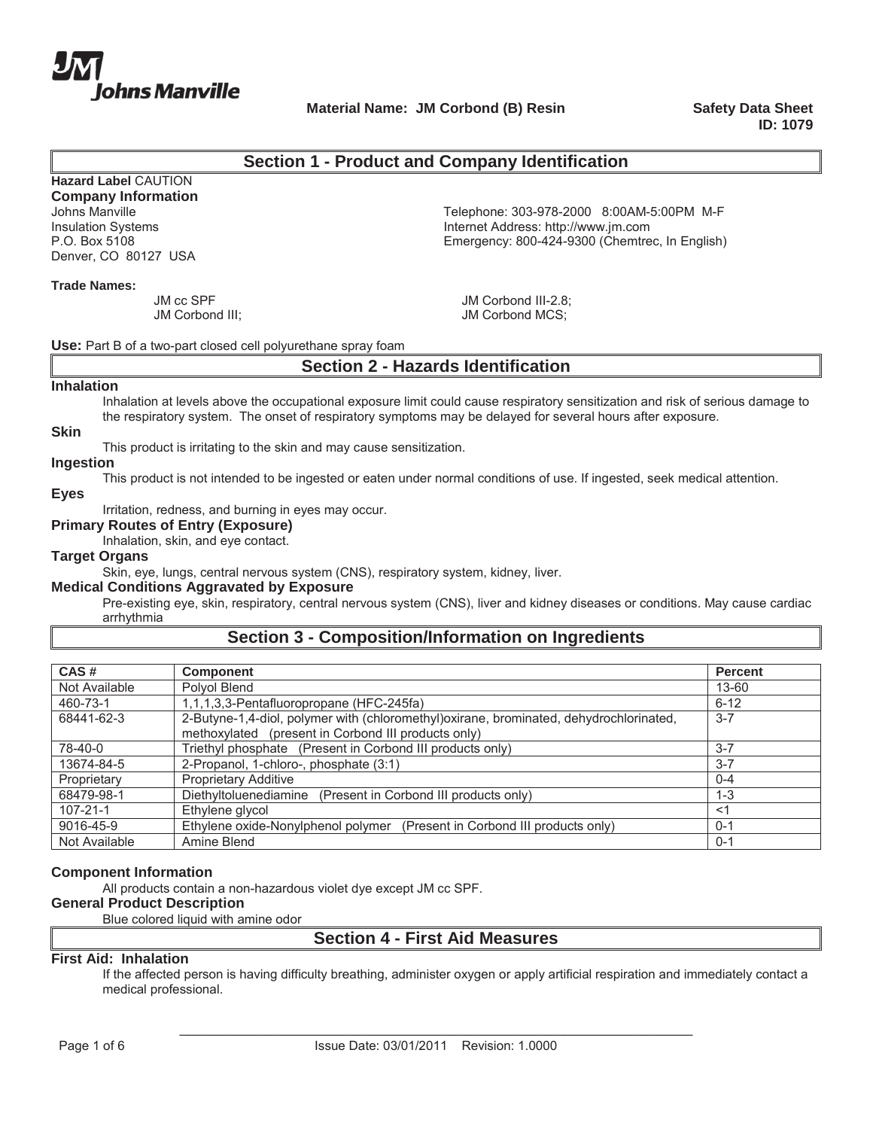

**Material Name: JM Corbond (B) Resin Safety Data Sheet Corp. 3. Safety Data Sheet** 

**ID: 1079**

### **Section 1 - Product and Company Identification**

# **Hazard Label** CAUTION

**Company Information** Denver, CO 80127 USA

Johns Manville<br>
Insulation Systems<br>
Internet Address: http://www.jm.com<br>
Internet Address: http://www.jm.com Internet Address: http://www.jm.com P.O. Box 5108 Emergency: 800-424-9300 (Chemtrec, In English)

#### **Trade Names:**

JM cc SPF JM Corbond III;

JM Corbond III-2.8; JM Corbond MCS;

#### **Use:** Part B of a two-part closed cell polyurethane spray foam

### **Section 2 - Hazards Identification**

#### **Inhalation**

Inhalation at levels above the occupational exposure limit could cause respiratory sensitization and risk of serious damage to the respiratory system. The onset of respiratory symptoms may be delayed for several hours after exposure.

### **Skin**

This product is irritating to the skin and may cause sensitization.

### **Ingestion**

This product is not intended to be ingested or eaten under normal conditions of use. If ingested, seek medical attention.

### **Eyes**

Irritation, redness, and burning in eyes may occur.

**Primary Routes of Entry (Exposure)**

Inhalation, skin, and eye contact.

### **Target Organs**

Skin, eye, lungs, central nervous system (CNS), respiratory system, kidney, liver.

### **Medical Conditions Aggravated by Exposure**

Pre-existing eye, skin, respiratory, central nervous system (CNS), liver and kidney diseases or conditions. May cause cardiac arrhythmia

## **Section 3 - Composition/Information on Ingredients**

| CAS#           | Component                                                                                                                                     | <b>Percent</b> |
|----------------|-----------------------------------------------------------------------------------------------------------------------------------------------|----------------|
| Not Available  | Polyol Blend                                                                                                                                  | 13-60          |
| 460-73-1       | 1,1,1,3,3-Pentafluoropropane (HFC-245fa)                                                                                                      | $6 - 12$       |
| 68441-62-3     | 2-Butyne-1,4-diol, polymer with (chloromethyl)oxirane, brominated, dehydrochlorinated,<br>methoxylated (present in Corbond III products only) | $3 - 7$        |
| 78-40-0        | Triethyl phosphate (Present in Corbond III products only)                                                                                     | $3 - 7$        |
| 13674-84-5     | 2-Propanol, 1-chloro-, phosphate (3:1)                                                                                                        | $3 - 7$        |
| Proprietary    | <b>Proprietary Additive</b>                                                                                                                   | $0 - 4$        |
| 68479-98-1     | Diethyltoluenediamine (Present in Corbond III products only)                                                                                  | $1 - 3$        |
| $107 - 21 - 1$ | Ethylene glycol                                                                                                                               | <1             |
| 9016-45-9      | Ethylene oxide-Nonylphenol polymer (Present in Corbond III products only)                                                                     | $0 - 1$        |
| Not Available  | Amine Blend                                                                                                                                   | $0 - 1$        |

#### **Component Information**

All products contain a non-hazardous violet dye except JM cc SPF.

### **General Product Description**

Blue colored liquid with amine odor

### **Section 4 - First Aid Measures**

### **First Aid: Inhalation**

If the affected person is having difficulty breathing, administer oxygen or apply artificial respiration and immediately contact a medical professional.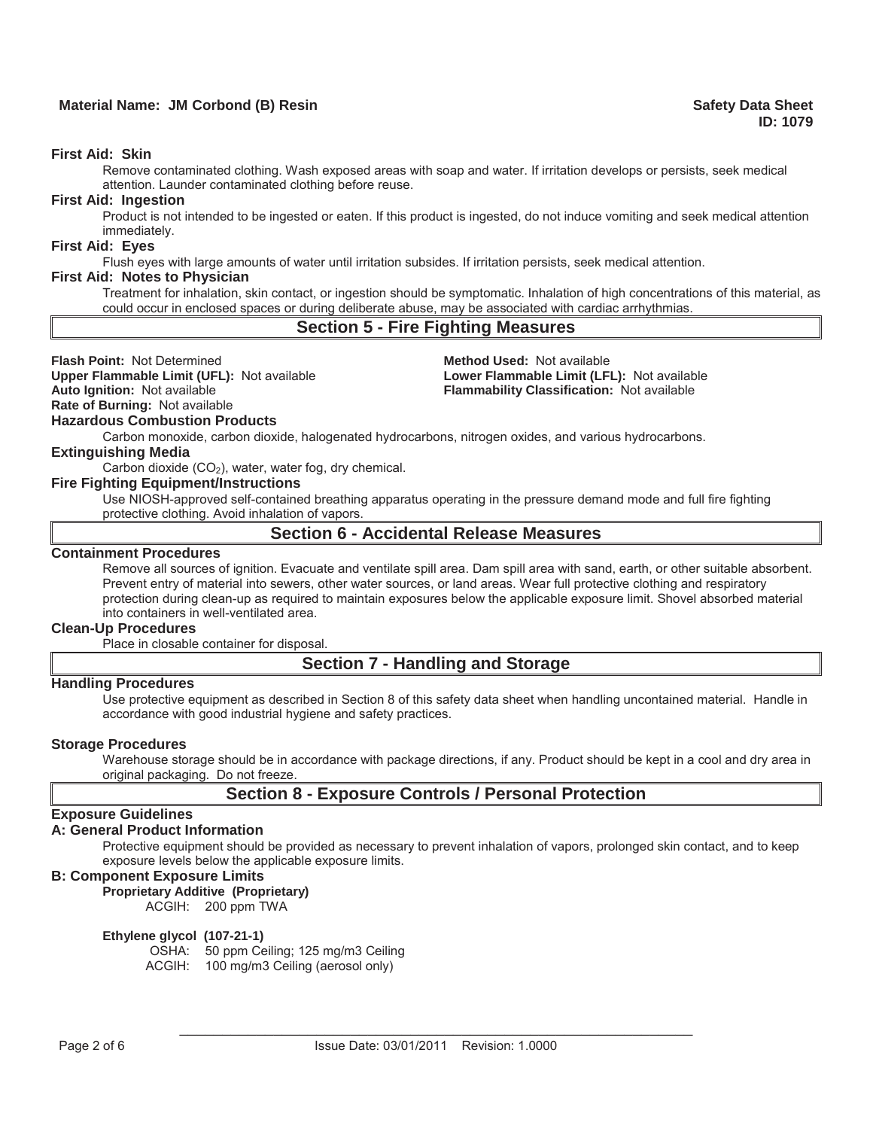### **Material Name: JM Corbond (B) Resin Safety Data Sheet All Accords Accord Safety Data Sheet All Accords Accords Accords Accords Accords Accords Accords Accords Accords Accords Accords Accords Accords Accords Accords Accord**

#### **First Aid: Skin**

Remove contaminated clothing. Wash exposed areas with soap and water. If irritation develops or persists, seek medical attention. Launder contaminated clothing before reuse.

#### **First Aid: Ingestion**

Product is not intended to be ingested or eaten. If this product is ingested, do not induce vomiting and seek medical attention immediately.

#### **First Aid: Eyes**

Flush eyes with large amounts of water until irritation subsides. If irritation persists, seek medical attention.

#### **First Aid: Notes to Physician**

Treatment for inhalation, skin contact, or ingestion should be symptomatic. Inhalation of high concentrations of this material, as could occur in enclosed spaces or during deliberate abuse, may be associated with cardiac arrhythmias.

### **Section 5 - Fire Fighting Measures**

**Flash Point:** Not Determined **Method Used:** Not available **Upper Flammable Limit (UFL):** Not available **Lower Flammable Limit (LFL):** Not available

**Auto Ignition:** Not available **Flammability Classification:** Not available

**Rate of Burning:** Not available

**Hazardous Combustion Products**

Carbon monoxide, carbon dioxide, halogenated hydrocarbons, nitrogen oxides, and various hydrocarbons.

### **Extinguishing Media**

Carbon dioxide (CO<sub>2</sub>), water, water fog, dry chemical.

### **Fire Fighting Equipment/Instructions**

Use NIOSH-approved self-contained breathing apparatus operating in the pressure demand mode and full fire fighting protective clothing. Avoid inhalation of vapors.

## **Section 6 - Accidental Release Measures**

#### **Containment Procedures**

Remove all sources of ignition. Evacuate and ventilate spill area. Dam spill area with sand, earth, or other suitable absorbent. Prevent entry of material into sewers, other water sources, or land areas. Wear full protective clothing and respiratory protection during clean-up as required to maintain exposures below the applicable exposure limit. Shovel absorbed material into containers in well-ventilated area.

#### **Clean-Up Procedures**

Place in closable container for disposal.

### **Section 7 - Handling and Storage**

### **Handling Procedures**

Use protective equipment as described in Section 8 of this safety data sheet when handling uncontained material. Handle in accordance with good industrial hygiene and safety practices.

#### **Storage Procedures**

Warehouse storage should be in accordance with package directions, if any. Product should be kept in a cool and dry area in original packaging. Do not freeze.

## **Section 8 - Exposure Controls / Personal Protection**

### **Exposure Guidelines**

### **A: General Product Information**

Protective equipment should be provided as necessary to prevent inhalation of vapors, prolonged skin contact, and to keep exposure levels below the applicable exposure limits.

### **B: Component Exposure Limits**

**Proprietary Additive (Proprietary)** ACGIH: 200 ppm TWA

#### **Ethylene glycol (107-21-1)**

OSHA: 50 ppm Ceiling; 125 mg/m3 Ceiling ACGIH: 100 mg/m3 Ceiling (aerosol only)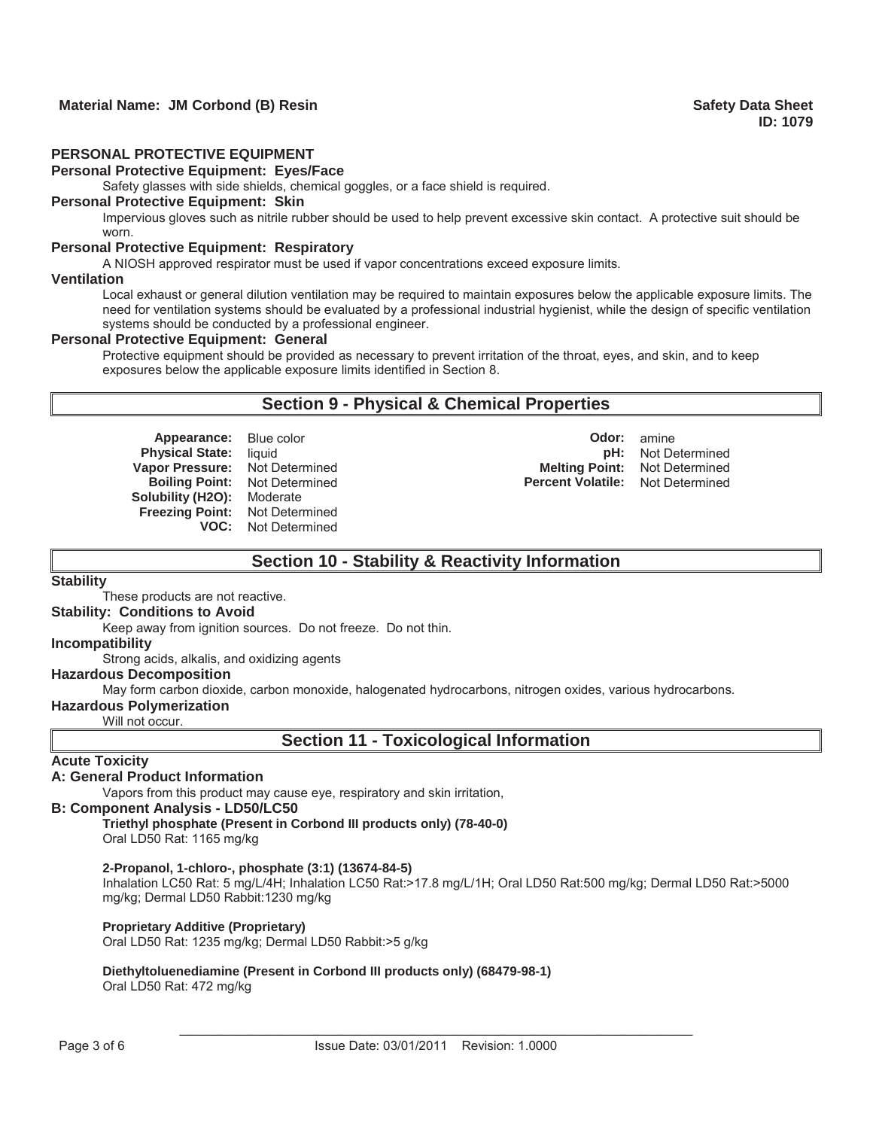#### **PERSONAL PROTECTIVE EQUIPMENT**

#### **Personal Protective Equipment: Eyes/Face**

Safety glasses with side shields, chemical goggles, or a face shield is required.

### **Personal Protective Equipment: Skin**

Impervious gloves such as nitrile rubber should be used to help prevent excessive skin contact. A protective suit should be worn.

#### **Personal Protective Equipment: Respiratory**

A NIOSH approved respirator must be used if vapor concentrations exceed exposure limits.

#### **Ventilation**

Local exhaust or general dilution ventilation may be required to maintain exposures below the applicable exposure limits. The need for ventilation systems should be evaluated by a professional industrial hygienist, while the design of specific ventilation systems should be conducted by a professional engineer.

#### **Personal Protective Equipment: General**

Protective equipment should be provided as necessary to prevent irritation of the throat, eyes, and skin, and to keep exposures below the applicable exposure limits identified in Section 8.

## **Section 9 - Physical & Chemical Properties**

**Appearance:** Blue color **CODO Odor: Odor: Odor: Odor: Odor: Odor: Odor: Odor: Odor: Odor: Odor: Odor: Odor: Odor: Odor: Odor: Odor: Odor: Odor: Odor: Odor: Odor: Odor: Odor: Boiling Point:** Not Determined **Solubility (H2O):** Moderate **Freezing Point:** Not Determined **VOC:** Not Determined

**Physical State:** liquid **pH:** Not Determined **Vapor Pressure:** Not Determined **Melting Point:** Not Determined

## **Section 10 - Stability & Reactivity Information**

### **Stability**

These products are not reactive.

### **Stability: Conditions to Avoid**

Keep away from ignition sources. Do not freeze. Do not thin.

### **Incompatibility**

Strong acids, alkalis, and oxidizing agents

### **Hazardous Decomposition**

May form carbon dioxide, carbon monoxide, halogenated hydrocarbons, nitrogen oxides, various hydrocarbons.

#### **Hazardous Polymerization**

Will not occur.

**Section 11 - Toxicological Information** 

### **Acute Toxicity**

### **A: General Product Information**

Vapors from this product may cause eye, respiratory and skin irritation,

#### **B: Component Analysis - LD50/LC50**

**Triethyl phosphate (Present in Corbond III products only) (78-40-0)** Oral LD50 Rat: 1165 mg/kg

#### **2-Propanol, 1-chloro-, phosphate (3:1) (13674-84-5)**

Inhalation LC50 Rat: 5 mg/L/4H; Inhalation LC50 Rat:>17.8 mg/L/1H; Oral LD50 Rat:500 mg/kg; Dermal LD50 Rat:>5000 mg/kg; Dermal LD50 Rabbit:1230 mg/kg

#### **Proprietary Additive (Proprietary)**

Oral LD50 Rat: 1235 mg/kg; Dermal LD50 Rabbit:>5 g/kg

## **Diethyltoluenediamine (Present in Corbond III products only) (68479-98-1)**

Oral LD50 Rat: 472 mg/kg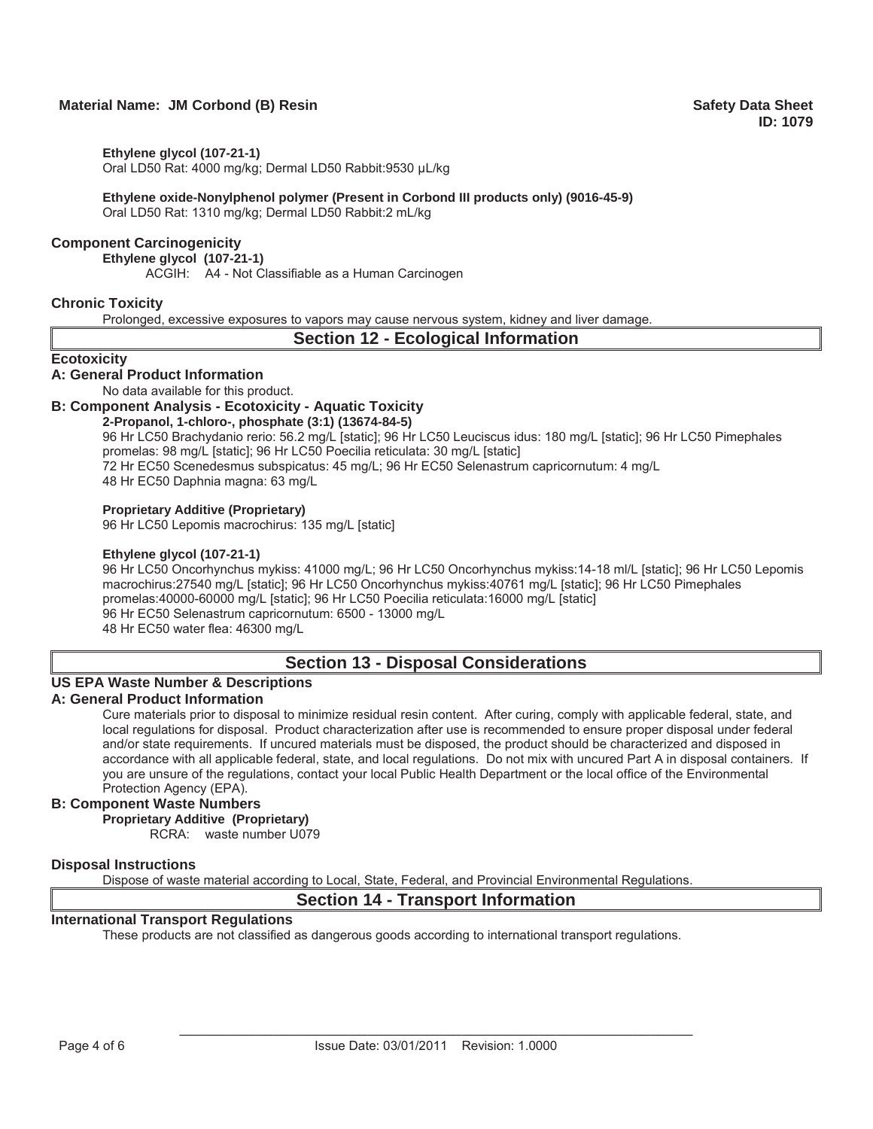### **Material Name: JM Corbond (B) Resin Safety Data Sheet All Accords Accord Safety Data Sheet All Accords Accords Accords Accords Accords Accords Accords Accords Accords Accords Accords Accords Accords Accords Accords Accord**

**Ethylene glycol (107-21-1)**

Oral LD50 Rat: 4000 mg/kg; Dermal LD50 Rabbit:9530 μL/kg

**Ethylene oxide-Nonylphenol polymer (Present in Corbond III products only) (9016-45-9)** Oral LD50 Rat: 1310 mg/kg; Dermal LD50 Rabbit:2 mL/kg

### **Component Carcinogenicity**

**Ethylene glycol (107-21-1)**

ACGIH: A4 - Not Classifiable as a Human Carcinogen

### **Chronic Toxicity**

Prolonged, excessive exposures to vapors may cause nervous system, kidney and liver damage.

### **Section 12 - Ecological Information**

#### **Ecotoxicity**

#### **A: General Product Information**

No data available for this product.

### **B: Component Analysis - Ecotoxicity - Aquatic Toxicity**

### **2-Propanol, 1-chloro-, phosphate (3:1) (13674-84-5)**

96 Hr LC50 Brachydanio rerio: 56.2 mg/L [static]; 96 Hr LC50 Leuciscus idus: 180 mg/L [static]; 96 Hr LC50 Pimephales promelas: 98 mg/L [static]; 96 Hr LC50 Poecilia reticulata: 30 mg/L [static] 72 Hr EC50 Scenedesmus subspicatus: 45 mg/L; 96 Hr EC50 Selenastrum capricornutum: 4 mg/L 48 Hr EC50 Daphnia magna: 63 mg/L

#### **Proprietary Additive (Proprietary)**

96 Hr LC50 Lepomis macrochirus: 135 mg/L [static]

### **Ethylene glycol (107-21-1)**

96 Hr LC50 Oncorhynchus mykiss: 41000 mg/L; 96 Hr LC50 Oncorhynchus mykiss:14-18 ml/L [static]; 96 Hr LC50 Lepomis macrochirus:27540 mg/L [static]; 96 Hr LC50 Oncorhynchus mykiss:40761 mg/L [static]; 96 Hr LC50 Pimephales promelas:40000-60000 mg/L [static]; 96 Hr LC50 Poecilia reticulata:16000 mg/L [static] 96 Hr EC50 Selenastrum capricornutum: 6500 - 13000 mg/L 48 Hr EC50 water flea: 46300 mg/L

## **Section 13 - Disposal Considerations**

#### **US EPA Waste Number & Descriptions**

#### **A: General Product Information**

Cure materials prior to disposal to minimize residual resin content. After curing, comply with applicable federal, state, and local regulations for disposal. Product characterization after use is recommended to ensure proper disposal under federal and/or state requirements. If uncured materials must be disposed, the product should be characterized and disposed in accordance with all applicable federal, state, and local regulations. Do not mix with uncured Part A in disposal containers. If you are unsure of the regulations, contact your local Public Health Department or the local office of the Environmental Protection Agency (EPA).

### **B: Component Waste Numbers**

**Proprietary Additive (Proprietary)**

RCRA: waste number U079

#### **Disposal Instructions**

Dispose of waste material according to Local, State, Federal, and Provincial Environmental Regulations.

## **Section 14 - Transport Information**

### **International Transport Regulations**

These products are not classified as dangerous goods according to international transport regulations.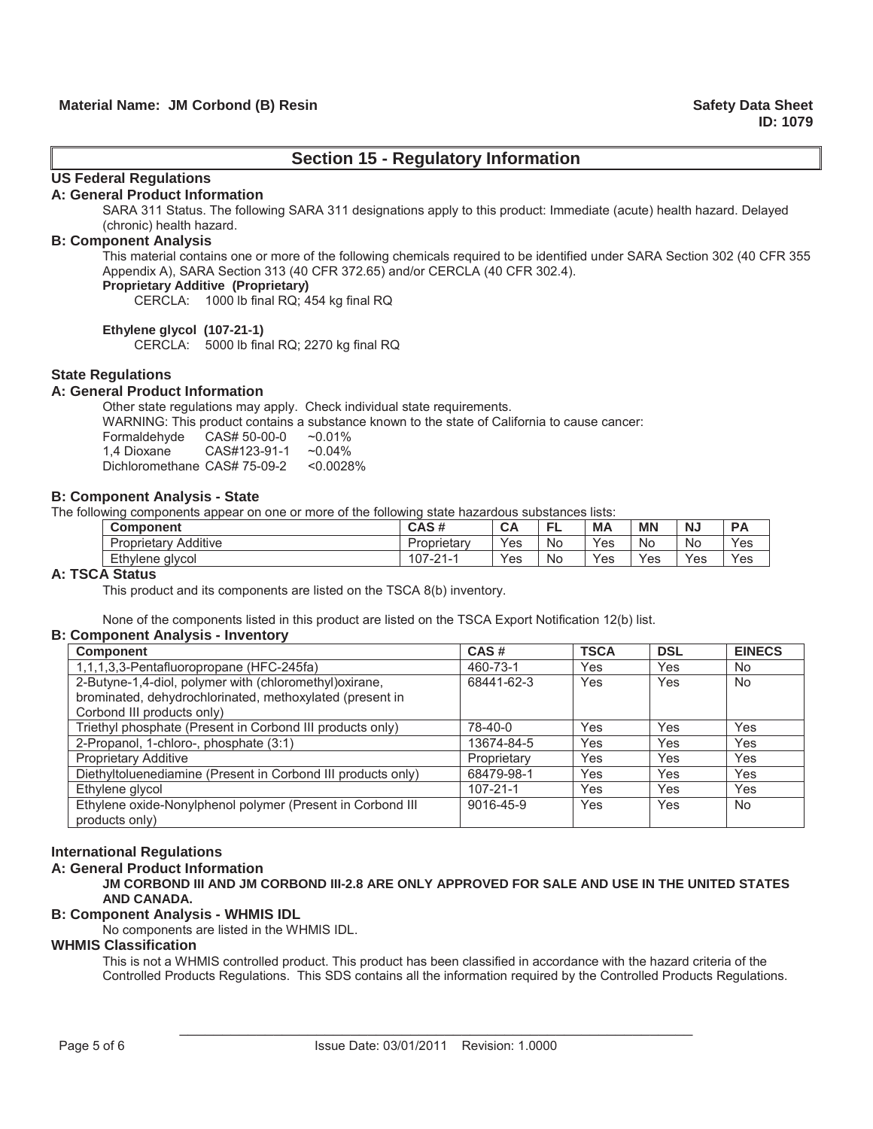## **Section 15 - Regulatory Information**

## **US Federal Regulations**

#### **A: General Product Information**

SARA 311 Status. The following SARA 311 designations apply to this product: Immediate (acute) health hazard. Delayed (chronic) health hazard.

#### **B: Component Analysis**

This material contains one or more of the following chemicals required to be identified under SARA Section 302 (40 CFR 355 Appendix A), SARA Section 313 (40 CFR 372.65) and/or CERCLA (40 CFR 302.4).

### **Proprietary Additive (Proprietary)**

CERCLA: 1000 lb final RQ; 454 kg final RQ

#### **Ethylene glycol (107-21-1)**

CERCLA: 5000 lb final RQ; 2270 kg final RQ

### **State Regulations**

### **A: General Product Information**

Other state regulations may apply. Check individual state requirements.

WARNING: This product contains a substance known to the state of California to cause cancer:

| Formaldehyde                 | CAS# 50-00-0 | $~10.01\%$   |
|------------------------------|--------------|--------------|
| 1.4 Dioxane                  | CAS#123-91-1 | $~10.04\%$   |
| Dichloromethane CAS# 75-09-2 |              | $< 0.0028\%$ |

#### **B: Component Analysis - State**

The following components appear on one or more of the following state hazardous substances lists:

| Component                                           | CAS#                               | $\sim$<br><u>ur</u> |    | МA  | <b>MN</b> | N.  |     |
|-----------------------------------------------------|------------------------------------|---------------------|----|-----|-----------|-----|-----|
| Additive<br>$\overline{\phantom{0}}$<br>Proprietary | Proprietary                        | Yes                 | N0 | Yes | No        | No  | Yes |
| Ethylene glycol                                     | ے۔ 107<br>$\Omega$<br>$\mathbf{I}$ | Yes                 | N0 | Yes | Yes       | Yes | Yes |

#### **A: TSCA Status**

This product and its components are listed on the TSCA 8(b) inventory.

None of the components listed in this product are listed on the TSCA Export Notification 12(b) list.

### **B: Component Analysis - Inventory**

| <b>Component</b>                                             | CAS#           | <b>TSCA</b> | <b>DSL</b> | <b>EINECS</b> |
|--------------------------------------------------------------|----------------|-------------|------------|---------------|
| 1,1,1,3,3-Pentafluoropropane (HFC-245fa)                     | 460-73-1       | Yes         | Yes        | No.           |
| 2-Butyne-1,4-diol, polymer with (chloromethyl) oxirane,      | 68441-62-3     | Yes         | Yes        | <b>No</b>     |
| brominated, dehydrochlorinated, methoxylated (present in     |                |             |            |               |
| Corbond III products only)                                   |                |             |            |               |
| Triethyl phosphate (Present in Corbond III products only)    | 78-40-0        | Yes         | Yes        | Yes           |
| 2-Propanol, 1-chloro-, phosphate (3:1)                       | 13674-84-5     | Yes         | Yes        | Yes           |
| <b>Proprietary Additive</b>                                  | Proprietary    | Yes         | Yes        | Yes           |
| Diethyltoluenediamine (Present in Corbond III products only) | 68479-98-1     | Yes         | Yes        | Yes           |
| Ethylene glycol                                              | $107 - 21 - 1$ | Yes         | Yes        | Yes           |
| Ethylene oxide-Nonylphenol polymer (Present in Corbond III   | 9016-45-9      | Yes         | Yes        | <b>No</b>     |
| products only)                                               |                |             |            |               |

#### **International Regulations**

### **A: General Product Information**

**JM CORBOND III AND JM CORBOND III-2.8 ARE ONLY APPROVED FOR SALE AND USE IN THE UNITED STATES AND CANADA.** 

#### **B: Component Analysis - WHMIS IDL**

No components are listed in the WHMIS IDL.

#### **WHMIS Classification**

This is not a WHMIS controlled product. This product has been classified in accordance with the hazard criteria of the Controlled Products Regulations. This SDS contains all the information required by the Controlled Products Regulations.